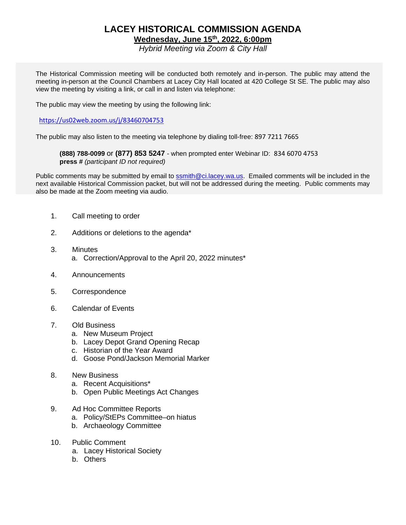# **LACEY HISTORICAL COMMISSION AGENDA**

**Wednesday, June 15th, 2022, 6:00pm**

*Hybrid Meeting via Zoom & City Hall*

The Historical Commission meeting will be conducted both remotely and in-person. The public may attend the meeting in-person at the Council Chambers at Lacey City Hall located at 420 College St SE. The public may also view the meeting by visiting a link, or call in and listen via telephone:

The public may view the meeting by using the following link:

#### [https://us02web.zoom.us/j/83460704753](https://gcc02.safelinks.protection.outlook.com/?url=https%3A%2F%2Fus02web.zoom.us%2Fj%2F83460704753&data=05%7C01%7CSSmith%40ci.lacey.wa.us%7C784818dbca2f45d42af908da47e97fe7%7C7806582ae87e40e0a1339ead1e97c9b4%7C1%7C0%7C637901365448172518%7CUnknown%7CTWFpbGZsb3d8eyJWIjoiMC4wLjAwMDAiLCJQIjoiV2luMzIiLCJBTiI6Ik1haWwiLCJXVCI6Mn0%3D%7C3000%7C%7C%7C&sdata=mp0%2B6VPt5zMZSTLmAQfheBHQCwE31JOlrbjE14vk%2FKM%3D&reserved=0)

The public may also listen to the meeting via telephone by dialing toll-free: 897 7211 7665

**(888) 788-0099** or **(877) 853 5247** - when prompted enter Webinar ID: 834 6070 4753 **press #** *(participant ID not required)*

Public comments may be submitted by email to [ssmith@ci.lacey.wa.us.](mailto:ssmith@ci.lacey.wa.us) Emailed comments will be included in the next available Historical Commission packet, but will not be addressed during the meeting. Public comments may also be made at the Zoom meeting via audio.

- 1. Call meeting to order
- 2. Additions or deletions to the agenda\*
- 3. Minutes a. Correction/Approval to the April 20, 2022 minutes\*
- 4. Announcements
- 5. Correspondence
- 6. Calendar of Events

#### 7. Old Business

- a. New Museum Project
- b. Lacey Depot Grand Opening Recap
- c. Historian of the Year Award
- d. Goose Pond/Jackson Memorial Marker
- 8. New Business
	- a. Recent Acquisitions\*
	- b. Open Public Meetings Act Changes
- 9. Ad Hoc Committee Reports
	- a. Policy/StEPs Committee–on hiatus
	- b. Archaeology Committee
- 10. Public Comment
	- a. Lacey Historical Society
	- b. Others